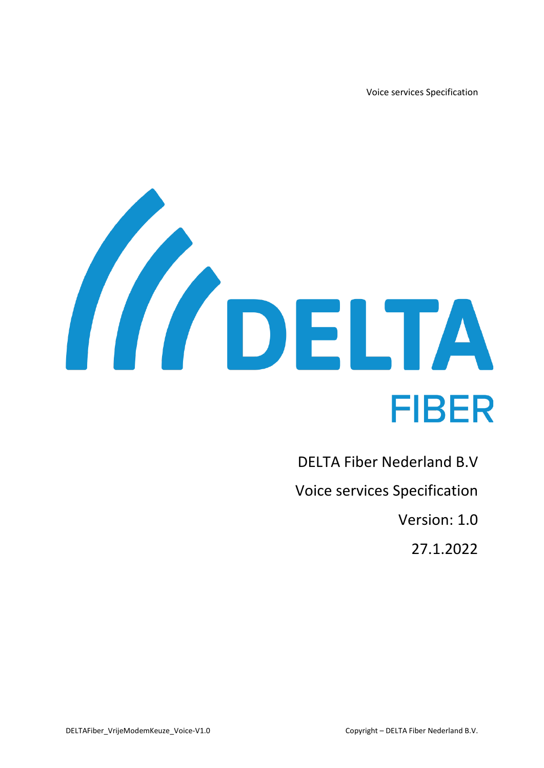Voice services Specification



DELTA Fiber Nederland B.V Voice services Specification Version: 1.0 27.1.2022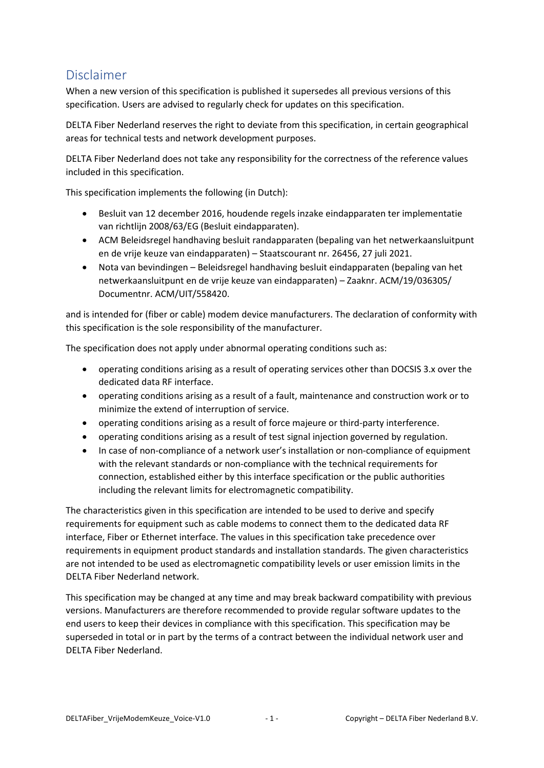# <span id="page-1-0"></span>Disclaimer

When a new version of this specification is published it supersedes all previous versions of this specification. Users are advised to regularly check for updates on this specification.

DELTA Fiber Nederland reserves the right to deviate from this specification, in certain geographical areas for technical tests and network development purposes.

DELTA Fiber Nederland does not take any responsibility for the correctness of the reference values included in this specification.

This specification implements the following (in Dutch):

- Besluit van 12 december 2016, houdende regels inzake eindapparaten ter implementatie van richtlijn 2008/63/EG (Besluit eindapparaten).
- ACM Beleidsregel handhaving besluit randapparaten (bepaling van het netwerkaansluitpunt en de vrije keuze van eindapparaten) – Staatscourant nr. 26456, 27 juli 2021.
- Nota van bevindingen Beleidsregel handhaving besluit eindapparaten (bepaling van het netwerkaansluitpunt en de vrije keuze van eindapparaten) – Zaaknr. ACM/19/036305/ Documentnr. ACM/UIT/558420.

and is intended for (fiber or cable) modem device manufacturers. The declaration of conformity with this specification is the sole responsibility of the manufacturer.

The specification does not apply under abnormal operating conditions such as:

- operating conditions arising as a result of operating services other than DOCSIS 3.x over the dedicated data RF interface.
- operating conditions arising as a result of a fault, maintenance and construction work or to minimize the extend of interruption of service.
- operating conditions arising as a result of force majeure or third-party interference.
- operating conditions arising as a result of test signal injection governed by regulation.
- In case of non-compliance of a network user's installation or non-compliance of equipment with the relevant standards or non-compliance with the technical requirements for connection, established either by this interface specification or the public authorities including the relevant limits for electromagnetic compatibility.

The characteristics given in this specification are intended to be used to derive and specify requirements for equipment such as cable modems to connect them to the dedicated data RF interface, Fiber or Ethernet interface. The values in this specification take precedence over requirements in equipment product standards and installation standards. The given characteristics are not intended to be used as electromagnetic compatibility levels or user emission limits in the DELTA Fiber Nederland network.

This specification may be changed at any time and may break backward compatibility with previous versions. Manufacturers are therefore recommended to provide regular software updates to the end users to keep their devices in compliance with this specification. This specification may be superseded in total or in part by the terms of a contract between the individual network user and DELTA Fiber Nederland.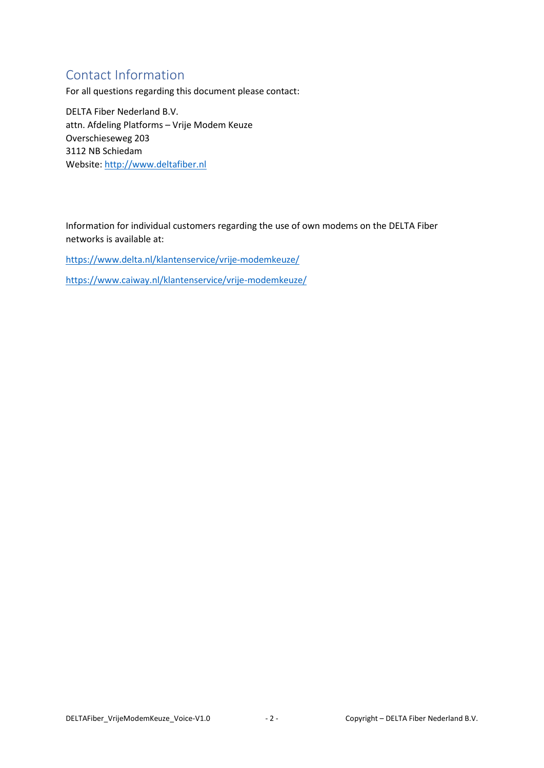# <span id="page-2-0"></span>Contact Information

For all questions regarding this document please contact:

DELTA Fiber Nederland B.V. attn. Afdeling Platforms – Vrije Modem Keuze Overschieseweg 203 3112 NB Schiedam Website[: http://www.deltafiber.nl](http://www.deltafiber.nl/)

Information for individual customers regarding the use of own modems on the DELTA Fiber networks is available at:

<https://www.delta.nl/klantenservice/vrije-modemkeuze/>

<https://www.caiway.nl/klantenservice/vrije-modemkeuze/>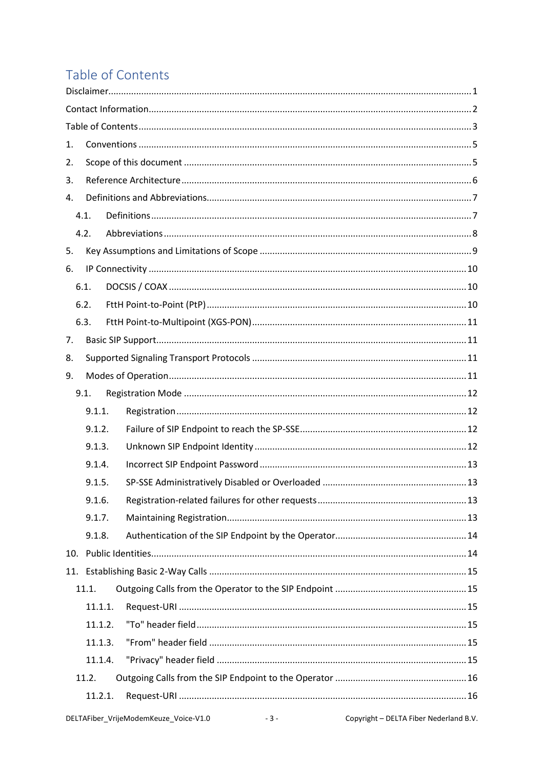# <span id="page-3-0"></span>Table of Contents

| 1.  |         |  |
|-----|---------|--|
| 2.  |         |  |
| 3.  |         |  |
| 4.  |         |  |
|     | 4.1.    |  |
|     | 4.2.    |  |
| 5.  |         |  |
| 6.  |         |  |
|     | 6.1.    |  |
|     | 6.2.    |  |
|     | 6.3.    |  |
| 7.  |         |  |
| 8.  |         |  |
| 9.  |         |  |
|     | 9.1.    |  |
|     | 9.1.1.  |  |
|     | 9.1.2.  |  |
|     | 9.1.3.  |  |
|     | 9.1.4.  |  |
|     | 9.1.5.  |  |
|     | 9.1.6.  |  |
|     | 9.1.7.  |  |
|     | 9.1.8.  |  |
| 10. |         |  |
|     |         |  |
|     | 11.1.   |  |
|     | 11.1.1. |  |
|     | 11.1.2. |  |
|     | 11.1.3. |  |
|     | 11.1.4. |  |
|     | 11.2.   |  |
|     | 11.2.1. |  |
|     |         |  |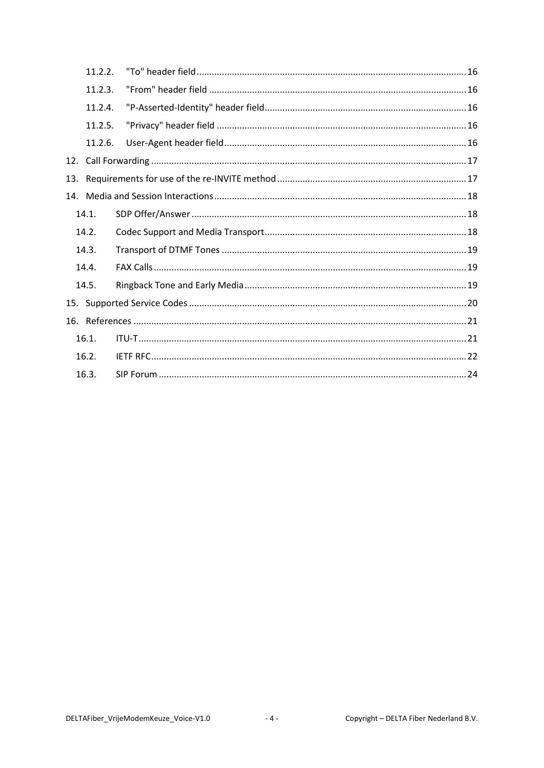|     | 11.2.2. |  |  |  |  |
|-----|---------|--|--|--|--|
|     | 11.2.3. |  |  |  |  |
|     | 11.2.4. |  |  |  |  |
|     | 11.2.5. |  |  |  |  |
|     | 11.2.6. |  |  |  |  |
|     |         |  |  |  |  |
| 13. |         |  |  |  |  |
|     |         |  |  |  |  |
|     | 14.1.   |  |  |  |  |
|     | 14.2.   |  |  |  |  |
|     | 14.3.   |  |  |  |  |
|     | 14.4.   |  |  |  |  |
|     | 14.5.   |  |  |  |  |
|     |         |  |  |  |  |
|     |         |  |  |  |  |
|     | 16.1.   |  |  |  |  |
|     | 16.2.   |  |  |  |  |
|     | 16.3.   |  |  |  |  |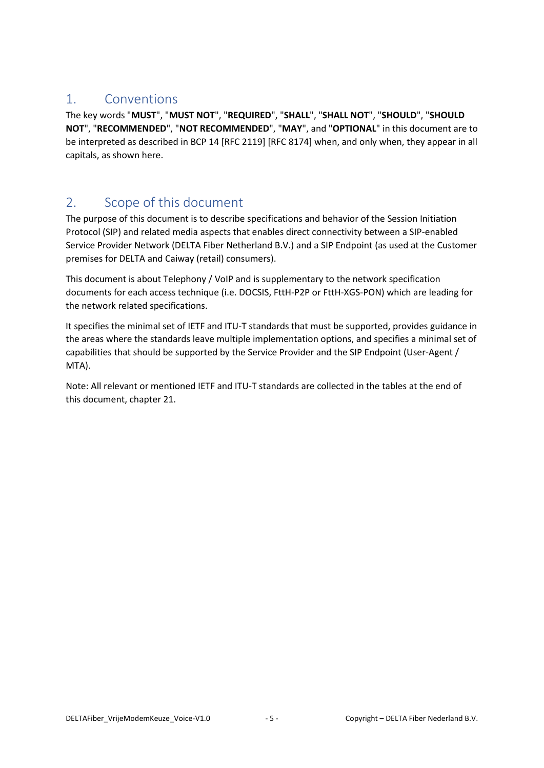## <span id="page-5-0"></span>1. Conventions

The key words "**MUST**", "**MUST NOT**", "**REQUIRED**", "**SHALL**", "**SHALL NOT**", "**SHOULD**", "**SHOULD NOT**", "**RECOMMENDED**", "**NOT RECOMMENDED**", "**MAY**", and "**OPTIONAL**" in this document are to be interpreted as described in BCP 14 [RFC 2119] [RFC 8174] when, and only when, they appear in all capitals, as shown here.

# <span id="page-5-1"></span>2. Scope of this document

The purpose of this document is to describe specifications and behavior of the Session Initiation Protocol (SIP) and related media aspects that enables direct connectivity between a SIP-enabled Service Provider Network (DELTA Fiber Netherland B.V.) and a SIP Endpoint (as used at the Customer premises for DELTA and Caiway (retail) consumers).

This document is about Telephony / VoIP and is supplementary to the network specification documents for each access technique (i.e. DOCSIS, FttH-P2P or FttH-XGS-PON) which are leading for the network related specifications.

It specifies the minimal set of IETF and ITU-T standards that must be supported, provides guidance in the areas where the standards leave multiple implementation options, and specifies a minimal set of capabilities that should be supported by the Service Provider and the SIP Endpoint (User-Agent / MTA).

Note: All relevant or mentioned IETF and ITU-T standards are collected in the tables at the end of this document, chapte[r 21.](#page-21-0)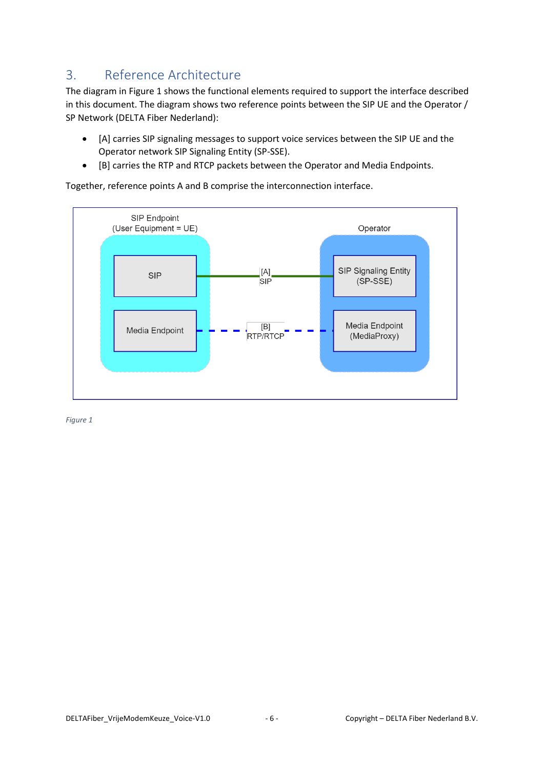# <span id="page-6-0"></span>3. Reference Architecture

The diagram in [Figure 1](#page-6-1) shows the functional elements required to support the interface described in this document. The diagram shows two reference points between the SIP UE and the Operator / SP Network (DELTA Fiber Nederland):

- [A] carries SIP signaling messages to support voice services between the SIP UE and the Operator network SIP Signaling Entity (SP-SSE).
- [B] carries the RTP and RTCP packets between the Operator and Media Endpoints.

Together, reference points A and B comprise the interconnection interface.



<span id="page-6-1"></span>*Figure 1*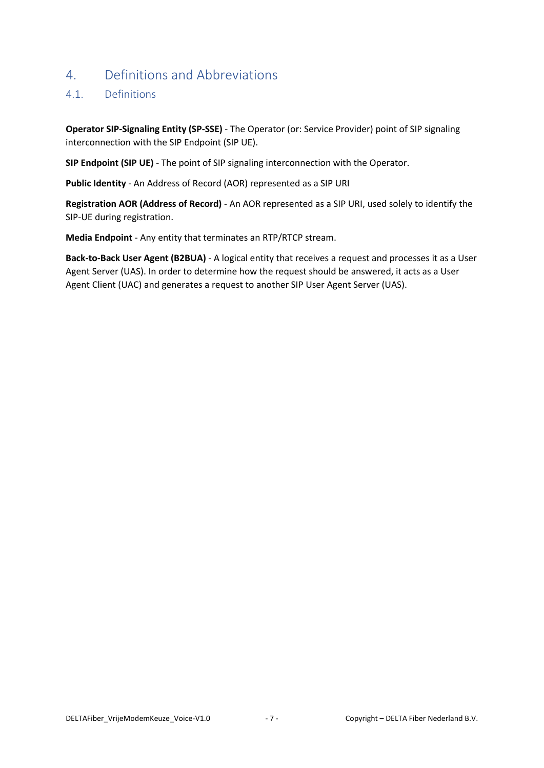## <span id="page-7-0"></span>4. Definitions and Abbreviations

### <span id="page-7-1"></span>4.1. Definitions

**Operator SIP-Signaling Entity (SP-SSE)** - The Operator (or: Service Provider) point of SIP signaling interconnection with the SIP Endpoint (SIP UE).

**SIP Endpoint (SIP UE)** - The point of SIP signaling interconnection with the Operator.

**Public Identity** - An Address of Record (AOR) represented as a SIP URI

**Registration AOR (Address of Record)** - An AOR represented as a SIP URI, used solely to identify the SIP-UE during registration.

**Media Endpoint** - Any entity that terminates an RTP/RTCP stream.

**Back-to-Back User Agent (B2BUA)** - A logical entity that receives a request and processes it as a User Agent Server (UAS). In order to determine how the request should be answered, it acts as a User Agent Client (UAC) and generates a request to another SIP User Agent Server (UAS).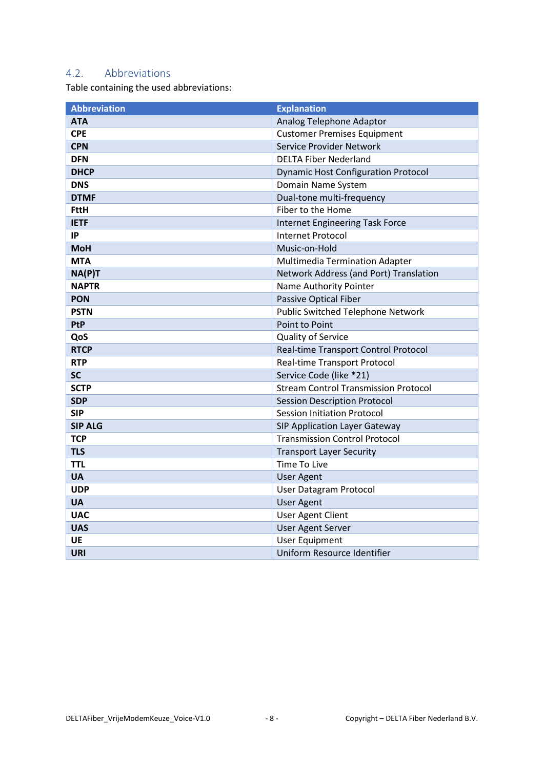## <span id="page-8-0"></span>4.2. Abbreviations

Table containing the used abbreviations:

| <b>Abbreviation</b> | <b>Explanation</b>                          |  |
|---------------------|---------------------------------------------|--|
| <b>ATA</b>          | Analog Telephone Adaptor                    |  |
| <b>CPE</b>          | <b>Customer Premises Equipment</b>          |  |
| <b>CPN</b>          | Service Provider Network                    |  |
| <b>DFN</b>          | <b>DELTA Fiber Nederland</b>                |  |
| <b>DHCP</b>         | <b>Dynamic Host Configuration Protocol</b>  |  |
| <b>DNS</b>          | Domain Name System                          |  |
| <b>DTMF</b>         | Dual-tone multi-frequency                   |  |
| <b>FttH</b>         | Fiber to the Home                           |  |
| <b>IETF</b>         | <b>Internet Engineering Task Force</b>      |  |
| IP                  | <b>Internet Protocol</b>                    |  |
| <b>MoH</b>          | Music-on-Hold                               |  |
| <b>MTA</b>          | Multimedia Termination Adapter              |  |
| NA(P)T              | Network Address (and Port) Translation      |  |
| <b>NAPTR</b>        | Name Authority Pointer                      |  |
| <b>PON</b>          | <b>Passive Optical Fiber</b>                |  |
| <b>PSTN</b>         | Public Switched Telephone Network           |  |
| PtP                 | Point to Point                              |  |
| QoS                 | Quality of Service                          |  |
| <b>RTCP</b>         | Real-time Transport Control Protocol        |  |
| <b>RTP</b>          | Real-time Transport Protocol                |  |
| <b>SC</b>           | Service Code (like *21)                     |  |
| <b>SCTP</b>         | <b>Stream Control Transmission Protocol</b> |  |
| <b>SDP</b>          | <b>Session Description Protocol</b>         |  |
| <b>SIP</b>          | <b>Session Initiation Protocol</b>          |  |
| <b>SIP ALG</b>      | <b>SIP Application Layer Gateway</b>        |  |
| <b>TCP</b>          | <b>Transmission Control Protocol</b>        |  |
| <b>TLS</b>          | <b>Transport Layer Security</b>             |  |
| <b>TTL</b>          | Time To Live                                |  |
| <b>UA</b>           | <b>User Agent</b>                           |  |
| <b>UDP</b>          | User Datagram Protocol                      |  |
| <b>UA</b>           | <b>User Agent</b>                           |  |
| <b>UAC</b>          | <b>User Agent Client</b>                    |  |
| <b>UAS</b>          | <b>User Agent Server</b>                    |  |
| UE                  | <b>User Equipment</b>                       |  |
| <b>URI</b>          | Uniform Resource Identifier                 |  |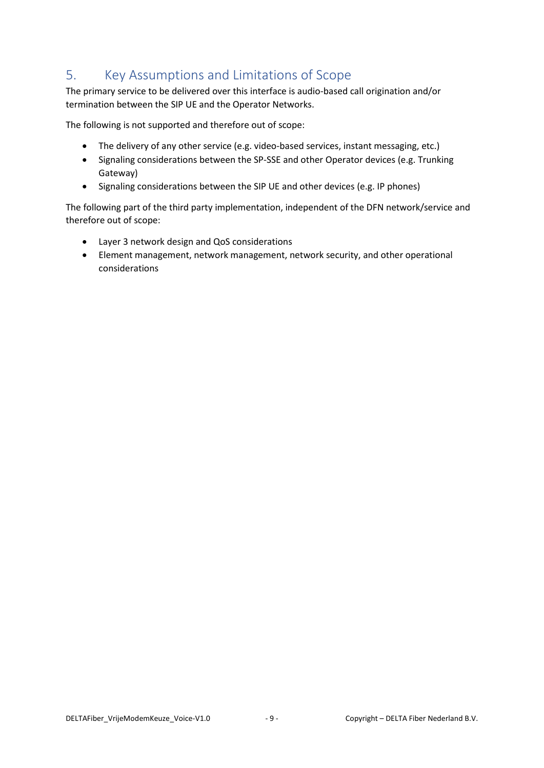# <span id="page-9-0"></span>5. Key Assumptions and Limitations of Scope

The primary service to be delivered over this interface is audio-based call origination and/or termination between the SIP UE and the Operator Networks.

The following is not supported and therefore out of scope:

- The delivery of any other service (e.g. video-based services, instant messaging, etc.)
- Signaling considerations between the SP-SSE and other Operator devices (e.g. Trunking Gateway)
- Signaling considerations between the SIP UE and other devices (e.g. IP phones)

The following part of the third party implementation, independent of the DFN network/service and therefore out of scope:

- Layer 3 network design and QoS considerations
- Element management, network management, network security, and other operational considerations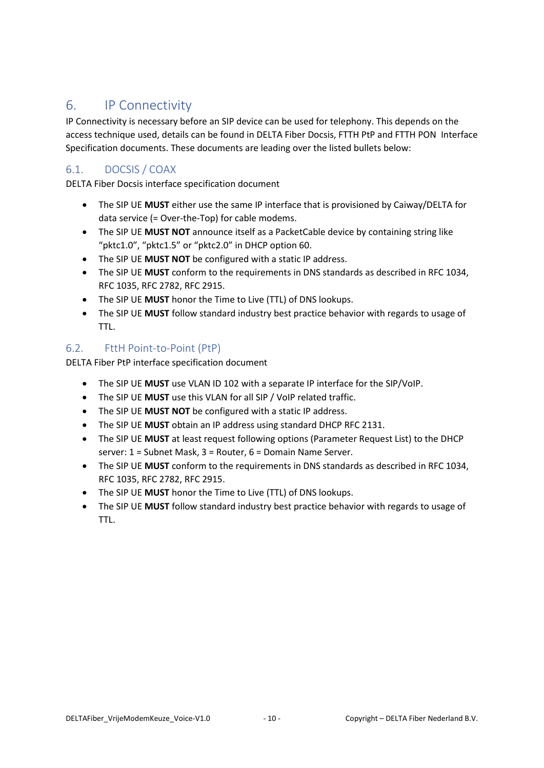## <span id="page-10-0"></span>6. IP Connectivity

IP Connectivity is necessary before an SIP device can be used for telephony. This depends on the access technique used, details can be found in DELTA Fiber Docsis, FTTH PtP and FTTH PON Interface Specification documents. These documents are leading over the listed bullets below:

### <span id="page-10-1"></span>6.1. DOCSIS / COAX

DELTA Fiber Docsis interface specification document

- The SIP UE **MUST** either use the same IP interface that is provisioned by Caiway/DELTA for data service (= Over-the-Top) for cable modems.
- The SIP UE **MUST NOT** announce itself as a PacketCable device by containing string like "pktc1.0", "pktc1.5" or "pktc2.0" in DHCP option 60.
- The SIP UE **MUST NOT** be configured with a static IP address.
- The SIP UE **MUST** conform to the requirements in DNS standards as described in RFC 1034, RFC 1035, RFC 2782, RFC 2915.
- The SIP UE **MUST** honor the Time to Live (TTL) of DNS lookups.
- The SIP UE **MUST** follow standard industry best practice behavior with regards to usage of TTL.

### <span id="page-10-2"></span>6.2. FttH Point-to-Point (PtP)

DELTA Fiber PtP interface specification document

- The SIP UE **MUST** use VLAN ID 102 with a separate IP interface for the SIP/VoIP.
- The SIP UE **MUST** use this VLAN for all SIP / VoIP related traffic.
- The SIP UE **MUST NOT** be configured with a static IP address.
- The SIP UE **MUST** obtain an IP address using standard DHCP RFC 2131.
- The SIP UE **MUST** at least request following options (Parameter Request List) to the DHCP server: 1 = Subnet Mask, 3 = Router, 6 = Domain Name Server.
- The SIP UE **MUST** conform to the requirements in DNS standards as described in RFC 1034, RFC 1035, RFC 2782, RFC 2915.
- The SIP UE **MUST** honor the Time to Live (TTL) of DNS lookups.
- The SIP UE **MUST** follow standard industry best practice behavior with regards to usage of TTL.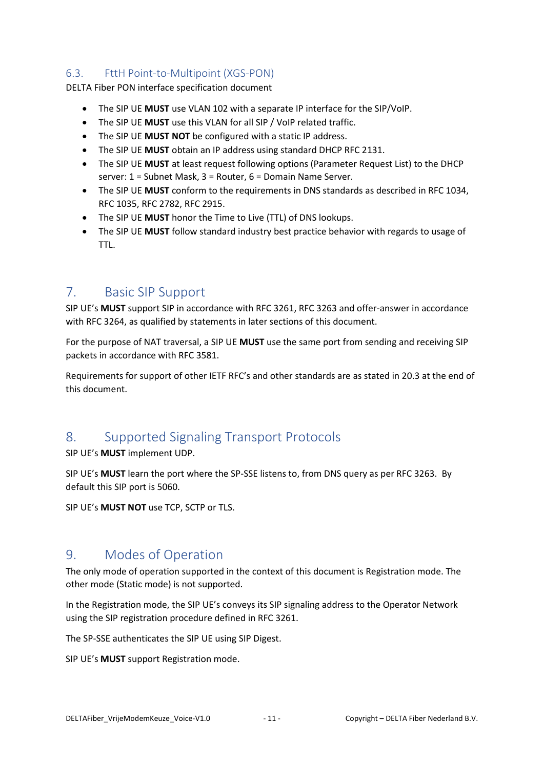### <span id="page-11-0"></span>6.3. FttH Point-to-Multipoint (XGS-PON)

DELTA Fiber PON interface specification document

- The SIP UE **MUST** use VLAN 102 with a separate IP interface for the SIP/VoIP.
- The SIP UE **MUST** use this VLAN for all SIP / VoIP related traffic.
- The SIP UE **MUST NOT** be configured with a static IP address.
- The SIP UE **MUST** obtain an IP address using standard DHCP RFC 2131.
- The SIP UE **MUST** at least request following options (Parameter Request List) to the DHCP server: 1 = Subnet Mask, 3 = Router, 6 = Domain Name Server.
- The SIP UE **MUST** conform to the requirements in DNS standards as described in RFC 1034, RFC 1035, RFC 2782, RFC 2915.
- The SIP UE **MUST** honor the Time to Live (TTL) of DNS lookups.
- The SIP UE **MUST** follow standard industry best practice behavior with regards to usage of TTL.

## <span id="page-11-1"></span>7. Basic SIP Support

SIP UE's **MUST** support SIP in accordance with RFC 3261, RFC 3263 and offer-answer in accordance with RFC 3264, as qualified by statements in later sections of this document.

For the purpose of NAT traversal, a SIP UE **MUST** use the same port from sending and receiving SIP packets in accordance with RFC 3581.

Requirements for support of other IETF RFC's and other standards are as stated in [20.3](#page-22-0) at the end of this document.

# <span id="page-11-2"></span>8. Supported Signaling Transport Protocols

SIP UE's **MUST** implement UDP.

SIP UE's **MUST** learn the port where the SP-SSE listens to, from DNS query as per RFC 3263. By default this SIP port is 5060.

SIP UE's **MUST NOT** use TCP, SCTP or TLS.

## <span id="page-11-3"></span>9. Modes of Operation

The only mode of operation supported in the context of this document is Registration mode. The other mode (Static mode) is not supported.

In the Registration mode, the SIP UE's conveys its SIP signaling address to the Operator Network using the SIP registration procedure defined in RFC 3261.

The SP-SSE authenticates the SIP UE using SIP Digest.

SIP UE's **MUST** support Registration mode.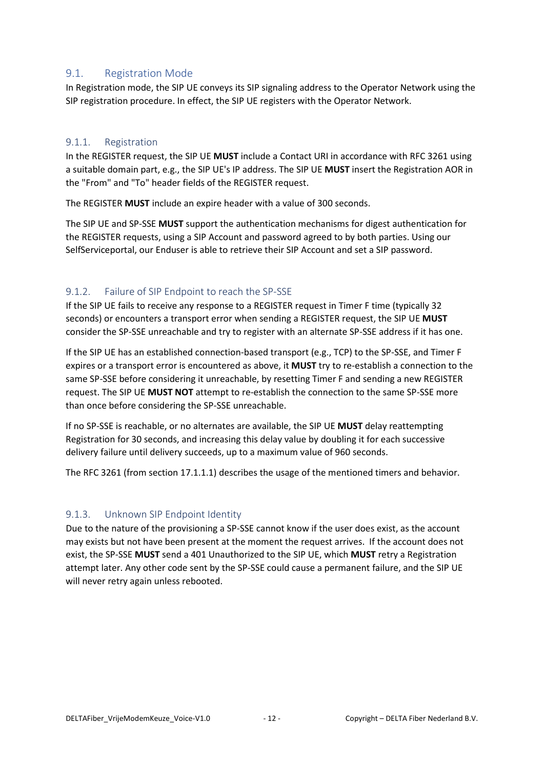#### <span id="page-12-0"></span>9.1. Registration Mode

In Registration mode, the SIP UE conveys its SIP signaling address to the Operator Network using the SIP registration procedure. In effect, the SIP UE registers with the Operator Network.

#### <span id="page-12-1"></span>9.1.1. Registration

In the REGISTER request, the SIP UE **MUST** include a Contact URI in accordance with RFC 3261 using a suitable domain part, e.g., the SIP UE's IP address. The SIP UE **MUST** insert the Registration AOR in the "From" and "To" header fields of the REGISTER request.

The REGISTER **MUST** include an expire header with a value of 300 seconds.

The SIP UE and SP-SSE **MUST** support the authentication mechanisms for digest authentication for the REGISTER requests, using a SIP Account and password agreed to by both parties. Using our SelfServiceportal, our Enduser is able to retrieve their SIP Account and set a SIP password.

#### <span id="page-12-2"></span>9.1.2. Failure of SIP Endpoint to reach the SP-SSE

If the SIP UE fails to receive any response to a REGISTER request in Timer F time (typically 32 seconds) or encounters a transport error when sending a REGISTER request, the SIP UE **MUST** consider the SP-SSE unreachable and try to register with an alternate SP-SSE address if it has one.

If the SIP UE has an established connection-based transport (e.g., TCP) to the SP-SSE, and Timer F expires or a transport error is encountered as above, it **MUST** try to re-establish a connection to the same SP-SSE before considering it unreachable, by resetting Timer F and sending a new REGISTER request. The SIP UE **MUST NOT** attempt to re-establish the connection to the same SP-SSE more than once before considering the SP-SSE unreachable.

If no SP-SSE is reachable, or no alternates are available, the SIP UE **MUST** delay reattempting Registration for 30 seconds, and increasing this delay value by doubling it for each successive delivery failure until delivery succeeds, up to a maximum value of 960 seconds.

The RFC 3261 (from section 17.1.1.1) describes the usage of the mentioned timers and behavior.

### <span id="page-12-3"></span>9.1.3. Unknown SIP Endpoint Identity

Due to the nature of the provisioning a SP-SSE cannot know if the user does exist, as the account may exists but not have been present at the moment the request arrives. If the account does not exist, the SP-SSE **MUST** send a 401 Unauthorized to the SIP UE, which **MUST** retry a Registration attempt later. Any other code sent by the SP-SSE could cause a permanent failure, and the SIP UE will never retry again unless rebooted.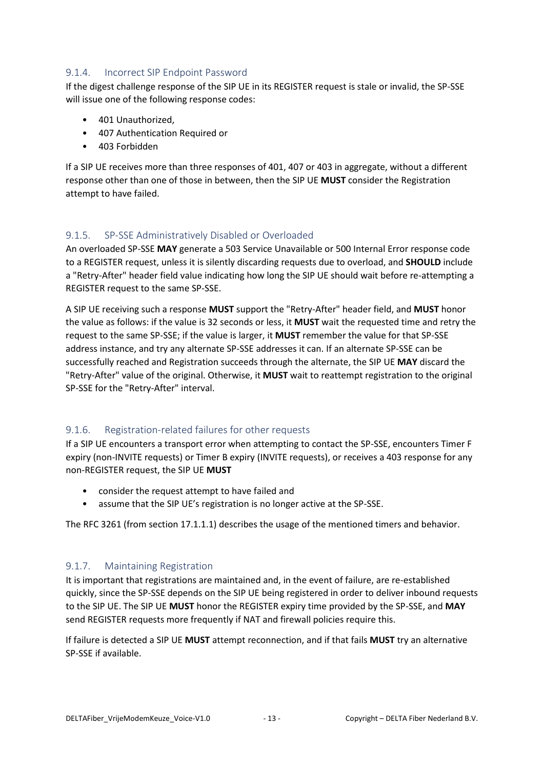### <span id="page-13-0"></span>9.1.4. Incorrect SIP Endpoint Password

If the digest challenge response of the SIP UE in its REGISTER request is stale or invalid, the SP-SSE will issue one of the following response codes:

- 401 Unauthorized,
- 407 Authentication Required or
- 403 Forbidden

If a SIP UE receives more than three responses of 401, 407 or 403 in aggregate, without a different response other than one of those in between, then the SIP UE **MUST** consider the Registration attempt to have failed.

#### <span id="page-13-1"></span>9.1.5. SP-SSE Administratively Disabled or Overloaded

An overloaded SP-SSE **MAY** generate a 503 Service Unavailable or 500 Internal Error response code to a REGISTER request, unless it is silently discarding requests due to overload, and **SHOULD** include a "Retry-After" header field value indicating how long the SIP UE should wait before re-attempting a REGISTER request to the same SP-SSE.

A SIP UE receiving such a response **MUST** support the "Retry-After" header field, and **MUST** honor the value as follows: if the value is 32 seconds or less, it **MUST** wait the requested time and retry the request to the same SP-SSE; if the value is larger, it **MUST** remember the value for that SP-SSE address instance, and try any alternate SP-SSE addresses it can. If an alternate SP-SSE can be successfully reached and Registration succeeds through the alternate, the SIP UE **MAY** discard the "Retry-After" value of the original. Otherwise, it **MUST** wait to reattempt registration to the original SP-SSE for the "Retry-After" interval.

#### <span id="page-13-2"></span>9.1.6. Registration-related failures for other requests

If a SIP UE encounters a transport error when attempting to contact the SP-SSE, encounters Timer F expiry (non-INVITE requests) or Timer B expiry (INVITE requests), or receives a 403 response for any non-REGISTER request, the SIP UE **MUST**

- consider the request attempt to have failed and
- assume that the SIP UE's registration is no longer active at the SP-SSE.

The RFC 3261 (from section 17.1.1.1) describes the usage of the mentioned timers and behavior.

### <span id="page-13-3"></span>9.1.7. Maintaining Registration

It is important that registrations are maintained and, in the event of failure, are re-established quickly, since the SP-SSE depends on the SIP UE being registered in order to deliver inbound requests to the SIP UE. The SIP UE **MUST** honor the REGISTER expiry time provided by the SP-SSE, and **MAY** send REGISTER requests more frequently if NAT and firewall policies require this.

If failure is detected a SIP UE **MUST** attempt reconnection, and if that fails **MUST** try an alternative SP-SSE if available.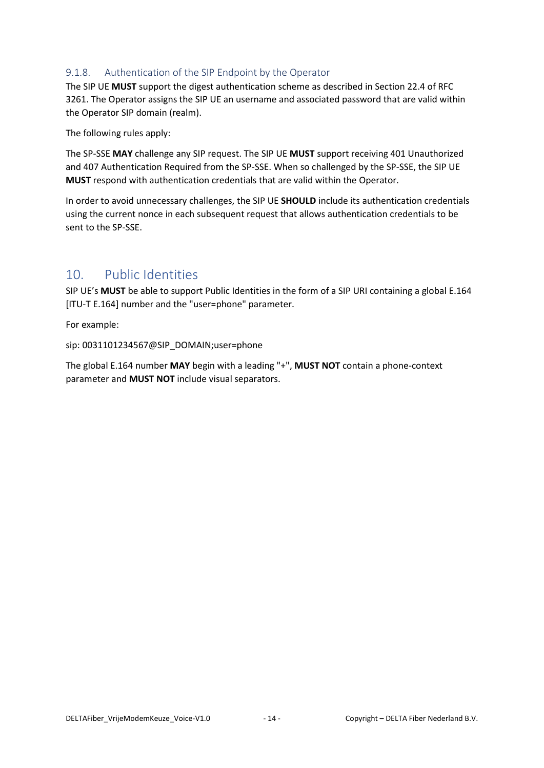### <span id="page-14-0"></span>9.1.8. Authentication of the SIP Endpoint by the Operator

The SIP UE **MUST** support the digest authentication scheme as described in Section 22.4 of RFC 3261. The Operator assigns the SIP UE an username and associated password that are valid within the Operator SIP domain (realm).

The following rules apply:

The SP-SSE **MAY** challenge any SIP request. The SIP UE **MUST** support receiving 401 Unauthorized and 407 Authentication Required from the SP-SSE. When so challenged by the SP-SSE, the SIP UE **MUST** respond with authentication credentials that are valid within the Operator.

In order to avoid unnecessary challenges, the SIP UE **SHOULD** include its authentication credentials using the current nonce in each subsequent request that allows authentication credentials to be sent to the SP-SSE.

## <span id="page-14-1"></span>10. Public Identities

SIP UE's **MUST** be able to support Public Identities in the form of a SIP URI containing a global E.164 [ITU-T E.164] number and the "user=phone" parameter.

For example:

sip: 0031101234567@SIP\_DOMAIN;user=phone

The global E.164 number **MAY** begin with a leading "+", **MUST NOT** contain a phone-context parameter and **MUST NOT** include visual separators.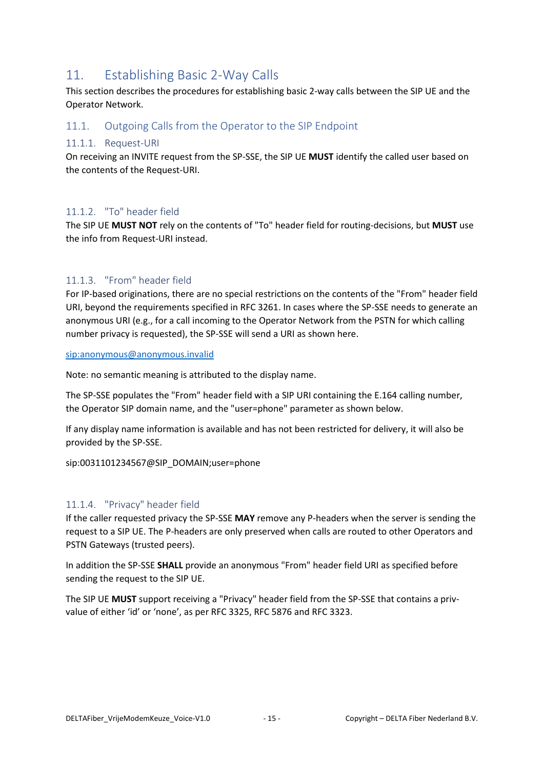# <span id="page-15-0"></span>11. Establishing Basic 2-Way Calls

This section describes the procedures for establishing basic 2-way calls between the SIP UE and the Operator Network.

### <span id="page-15-1"></span>11.1. Outgoing Calls from the Operator to the SIP Endpoint

#### <span id="page-15-2"></span>11.1.1. Request-URI

On receiving an INVITE request from the SP-SSE, the SIP UE **MUST** identify the called user based on the contents of the Request-URI.

#### <span id="page-15-3"></span>11.1.2. "To" header field

The SIP UE **MUST NOT** rely on the contents of "To" header field for routing-decisions, but **MUST** use the info from Request-URI instead.

### <span id="page-15-4"></span>11.1.3. "From" header field

For IP-based originations, there are no special restrictions on the contents of the "From" header field URI, beyond the requirements specified in RFC 3261. In cases where the SP-SSE needs to generate an anonymous URI (e.g., for a call incoming to the Operator Network from the PSTN for which calling number privacy is requested), the SP-SSE will send a URI as shown here.

<sip:anonymous@anonymous.invalid>

Note: no semantic meaning is attributed to the display name.

The SP-SSE populates the "From" header field with a SIP URI containing the E.164 calling number, the Operator SIP domain name, and the "user=phone" parameter as shown below.

If any display name information is available and has not been restricted for delivery, it will also be provided by the SP-SSE.

sip:0031101234567@SIP\_DOMAIN;user=phone

#### <span id="page-15-5"></span>11.1.4. "Privacy" header field

If the caller requested privacy the SP-SSE **MAY** remove any P-headers when the server is sending the request to a SIP UE. The P-headers are only preserved when calls are routed to other Operators and PSTN Gateways (trusted peers).

In addition the SP-SSE **SHALL** provide an anonymous "From" header field URI as specified before sending the request to the SIP UE.

The SIP UE **MUST** support receiving a "Privacy" header field from the SP-SSE that contains a privvalue of either 'id' or 'none', as per RFC 3325, RFC 5876 and RFC 3323.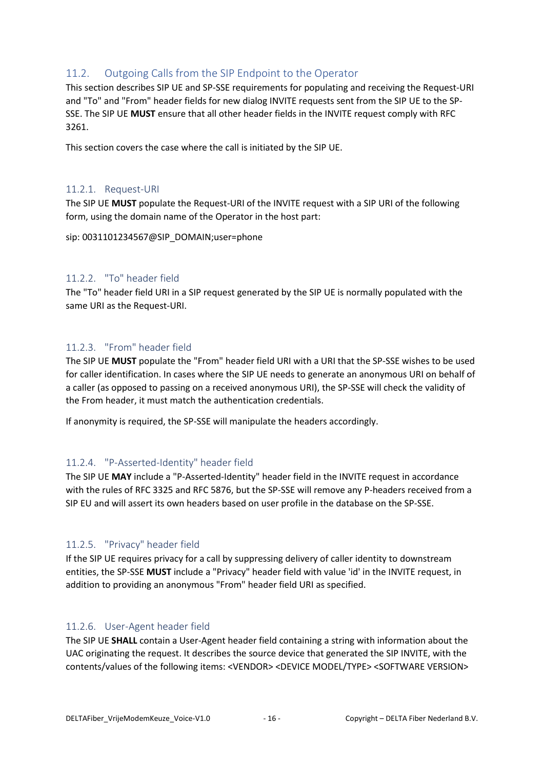### <span id="page-16-0"></span>11.2. Outgoing Calls from the SIP Endpoint to the Operator

This section describes SIP UE and SP-SSE requirements for populating and receiving the Request-URI and "To" and "From" header fields for new dialog INVITE requests sent from the SIP UE to the SP-SSE. The SIP UE **MUST** ensure that all other header fields in the INVITE request comply with RFC 3261.

This section covers the case where the call is initiated by the SIP UE.

#### <span id="page-16-1"></span>11.2.1. Request-URI

The SIP UE **MUST** populate the Request-URI of the INVITE request with a SIP URI of the following form, using the domain name of the Operator in the host part:

sip: 0031101234567@SIP\_DOMAIN;user=phone

#### <span id="page-16-2"></span>11.2.2. "To" header field

The "To" header field URI in a SIP request generated by the SIP UE is normally populated with the same URI as the Request-URI.

#### <span id="page-16-3"></span>11.2.3. "From" header field

The SIP UE **MUST** populate the "From" header field URI with a URI that the SP-SSE wishes to be used for caller identification. In cases where the SIP UE needs to generate an anonymous URI on behalf of a caller (as opposed to passing on a received anonymous URI), the SP-SSE will check the validity of the From header, it must match the authentication credentials.

If anonymity is required, the SP-SSE will manipulate the headers accordingly.

#### <span id="page-16-4"></span>11.2.4. "P-Asserted-Identity" header field

The SIP UE **MAY** include a "P-Asserted-Identity" header field in the INVITE request in accordance with the rules of RFC 3325 and RFC 5876, but the SP-SSE will remove any P-headers received from a SIP EU and will assert its own headers based on user profile in the database on the SP-SSE.

#### <span id="page-16-5"></span>11.2.5. "Privacy" header field

If the SIP UE requires privacy for a call by suppressing delivery of caller identity to downstream entities, the SP-SSE **MUST** include a "Privacy" header field with value 'id' in the INVITE request, in addition to providing an anonymous "From" header field URI as specified.

#### <span id="page-16-6"></span>11.2.6. User-Agent header field

The SIP UE **SHALL** contain a User-Agent header field containing a string with information about the UAC originating the request. It describes the source device that generated the SIP INVITE, with the contents/values of the following items: <VENDOR> <DEVICE MODEL/TYPE> <SOFTWARE VERSION>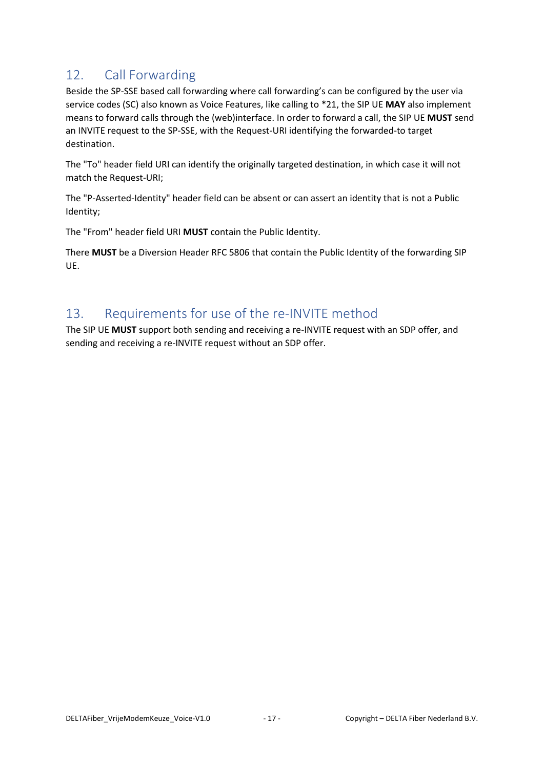# <span id="page-17-0"></span>12. Call Forwarding

Beside the SP-SSE based call forwarding where call forwarding's can be configured by the user via service codes (SC) also known as Voice Features, like calling to \*21, the SIP UE **MAY** also implement means to forward calls through the (web)interface. In order to forward a call, the SIP UE **MUST** send an INVITE request to the SP-SSE, with the Request-URI identifying the forwarded-to target destination.

The "To" header field URI can identify the originally targeted destination, in which case it will not match the Request-URI;

The "P-Asserted-Identity" header field can be absent or can assert an identity that is not a Public Identity;

The "From" header field URI **MUST** contain the Public Identity.

There **MUST** be a Diversion Header RFC 5806 that contain the Public Identity of the forwarding SIP UE.

## <span id="page-17-1"></span>13. Requirements for use of the re-INVITE method

The SIP UE **MUST** support both sending and receiving a re-INVITE request with an SDP offer, and sending and receiving a re-INVITE request without an SDP offer.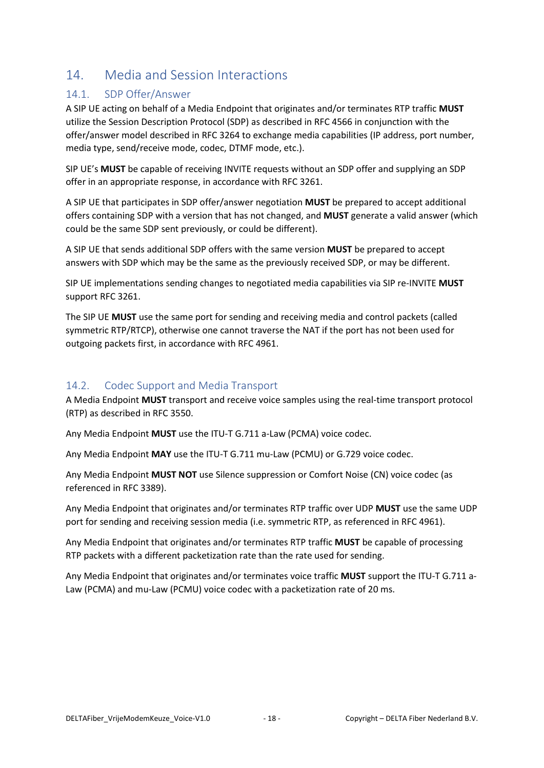# <span id="page-18-0"></span>14. Media and Session Interactions

### <span id="page-18-1"></span>14.1. SDP Offer/Answer

A SIP UE acting on behalf of a Media Endpoint that originates and/or terminates RTP traffic **MUST** utilize the Session Description Protocol (SDP) as described in RFC 4566 in conjunction with the offer/answer model described in RFC 3264 to exchange media capabilities (IP address, port number, media type, send/receive mode, codec, DTMF mode, etc.).

SIP UE's **MUST** be capable of receiving INVITE requests without an SDP offer and supplying an SDP offer in an appropriate response, in accordance with RFC 3261.

A SIP UE that participates in SDP offer/answer negotiation **MUST** be prepared to accept additional offers containing SDP with a version that has not changed, and **MUST** generate a valid answer (which could be the same SDP sent previously, or could be different).

A SIP UE that sends additional SDP offers with the same version **MUST** be prepared to accept answers with SDP which may be the same as the previously received SDP, or may be different.

SIP UE implementations sending changes to negotiated media capabilities via SIP re-INVITE **MUST** support RFC 3261.

The SIP UE **MUST** use the same port for sending and receiving media and control packets (called symmetric RTP/RTCP), otherwise one cannot traverse the NAT if the port has not been used for outgoing packets first, in accordance with RFC 4961.

### <span id="page-18-2"></span>14.2. Codec Support and Media Transport

A Media Endpoint **MUST** transport and receive voice samples using the real-time transport protocol (RTP) as described in RFC 3550.

Any Media Endpoint **MUST** use the ITU-T G.711 a-Law (PCMA) voice codec.

Any Media Endpoint **MAY** use the ITU-T G.711 mu-Law (PCMU) or G.729 voice codec.

Any Media Endpoint **MUST NOT** use Silence suppression or Comfort Noise (CN) voice codec (as referenced in RFC 3389).

Any Media Endpoint that originates and/or terminates RTP traffic over UDP **MUST** use the same UDP port for sending and receiving session media (i.e. symmetric RTP, as referenced in RFC 4961).

Any Media Endpoint that originates and/or terminates RTP traffic **MUST** be capable of processing RTP packets with a different packetization rate than the rate used for sending.

Any Media Endpoint that originates and/or terminates voice traffic **MUST** support the ITU-T G.711 a-Law (PCMA) and mu-Law (PCMU) voice codec with a packetization rate of 20 ms.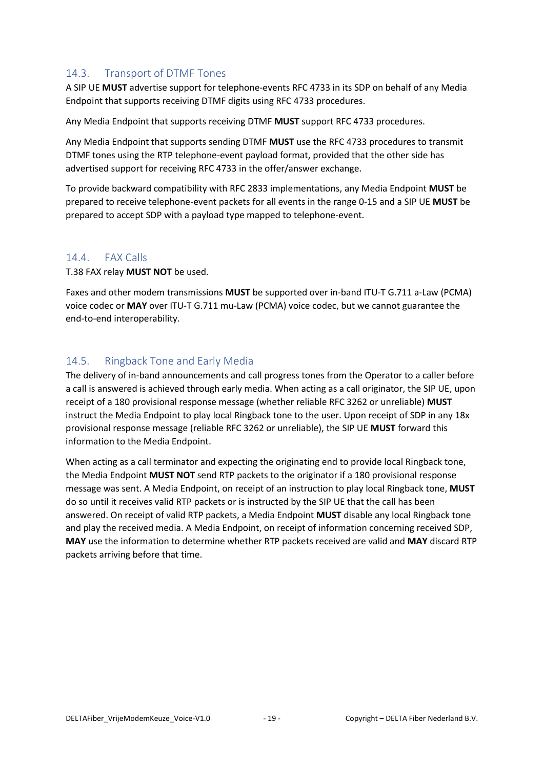### <span id="page-19-0"></span>14.3. Transport of DTMF Tones

A SIP UE **MUST** advertise support for telephone-events RFC 4733 in its SDP on behalf of any Media Endpoint that supports receiving DTMF digits using RFC 4733 procedures.

Any Media Endpoint that supports receiving DTMF **MUST** support RFC 4733 procedures.

Any Media Endpoint that supports sending DTMF **MUST** use the RFC 4733 procedures to transmit DTMF tones using the RTP telephone-event payload format, provided that the other side has advertised support for receiving RFC 4733 in the offer/answer exchange.

To provide backward compatibility with RFC 2833 implementations, any Media Endpoint **MUST** be prepared to receive telephone-event packets for all events in the range 0-15 and a SIP UE **MUST** be prepared to accept SDP with a payload type mapped to telephone-event.

#### <span id="page-19-1"></span>14.4. FAX Calls

T.38 FAX relay **MUST NOT** be used.

Faxes and other modem transmissions **MUST** be supported over in-band ITU-T G.711 a-Law (PCMA) voice codec or **MAY** over ITU-T G.711 mu-Law (PCMA) voice codec, but we cannot guarantee the end-to-end interoperability.

### <span id="page-19-2"></span>14.5. Ringback Tone and Early Media

The delivery of in-band announcements and call progress tones from the Operator to a caller before a call is answered is achieved through early media. When acting as a call originator, the SIP UE, upon receipt of a 180 provisional response message (whether reliable RFC 3262 or unreliable) **MUST** instruct the Media Endpoint to play local Ringback tone to the user. Upon receipt of SDP in any 18x provisional response message (reliable RFC 3262 or unreliable), the SIP UE **MUST** forward this information to the Media Endpoint.

When acting as a call terminator and expecting the originating end to provide local Ringback tone, the Media Endpoint **MUST NOT** send RTP packets to the originator if a 180 provisional response message was sent. A Media Endpoint, on receipt of an instruction to play local Ringback tone, **MUST** do so until it receives valid RTP packets or is instructed by the SIP UE that the call has been answered. On receipt of valid RTP packets, a Media Endpoint **MUST** disable any local Ringback tone and play the received media. A Media Endpoint, on receipt of information concerning received SDP, **MAY** use the information to determine whether RTP packets received are valid and **MAY** discard RTP packets arriving before that time.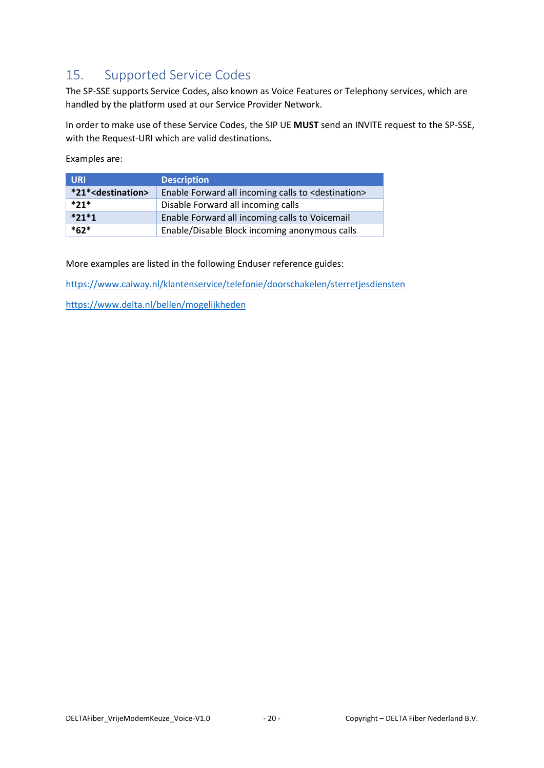# <span id="page-20-0"></span>15. Supported Service Codes

The SP-SSE supports Service Codes, also known as Voice Features or Telephony services, which are handled by the platform used at our Service Provider Network.

In order to make use of these Service Codes, the SIP UE **MUST** send an INVITE request to the SP-SSE, with the Request-URI which are valid destinations.

Examples are:

| <b>URI</b>                       | <b>Description</b>                                               |
|----------------------------------|------------------------------------------------------------------|
| *21* <destination></destination> | Enable Forward all incoming calls to <destination></destination> |
| $*21*$                           | Disable Forward all incoming calls                               |
| $*21*1$                          | Enable Forward all incoming calls to Voicemail                   |
| $*62*$                           | Enable/Disable Block incoming anonymous calls                    |

More examples are listed in the following Enduser reference guides:

<https://www.caiway.nl/klantenservice/telefonie/doorschakelen/sterretjesdiensten>

<https://www.delta.nl/bellen/mogelijkheden>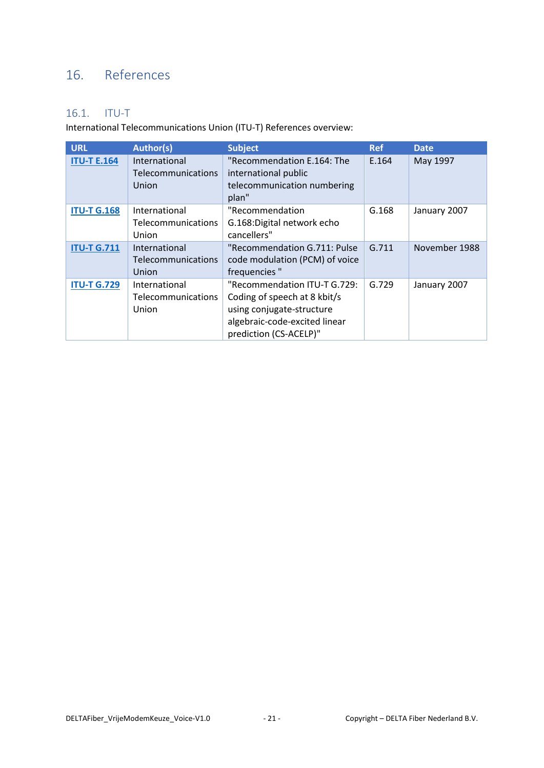# <span id="page-21-0"></span>16. References

## <span id="page-21-1"></span>16.1. ITU-T

International Telecommunications Union (ITU-T) References overview:

| <b>URL</b>         | <b>Author(s)</b>                                    | <b>Subject</b>                                                                                                                                       | <b>Ref</b> | <b>Date</b>   |
|--------------------|-----------------------------------------------------|------------------------------------------------------------------------------------------------------------------------------------------------------|------------|---------------|
| <b>ITU-T E.164</b> | International<br><b>Telecommunications</b><br>Union | "Recommendation E.164: The<br>international public<br>telecommunication numbering<br>plan"                                                           | E.164      | May 1997      |
| <b>ITU-T G.168</b> | International<br><b>Telecommunications</b><br>Union | "Recommendation<br>G.168: Digital network echo<br>cancellers"                                                                                        | G.168      | January 2007  |
| <b>ITU-T G.711</b> | International<br>Telecommunications<br>Union        | "Recommendation G.711: Pulse<br>code modulation (PCM) of voice<br>frequencies"                                                                       | G.711      | November 1988 |
| <b>ITU-T G.729</b> | International<br>Telecommunications<br>Union        | "Recommendation ITU-T G.729:<br>Coding of speech at 8 kbit/s<br>using conjugate-structure<br>algebraic-code-excited linear<br>prediction (CS-ACELP)" | G.729      | January 2007  |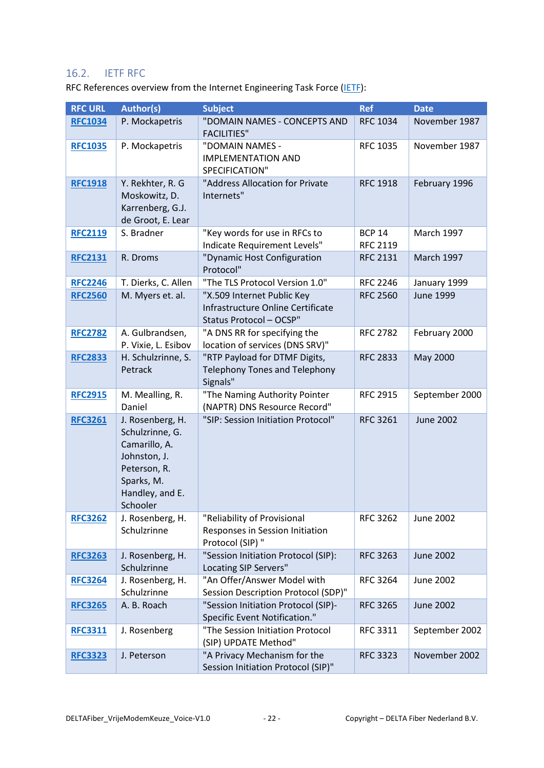### <span id="page-22-0"></span>16.2. IETF RFC

RFC References overview from the Internet Engineering Task Force [\(IETF\)](https://www.ietf.org/):

| <b>RFC URL</b> | <b>Author(s)</b>                                                                                                                  | <b>Subject</b>                                                                             | <b>Ref</b>                       | <b>Date</b>       |
|----------------|-----------------------------------------------------------------------------------------------------------------------------------|--------------------------------------------------------------------------------------------|----------------------------------|-------------------|
| <b>RFC1034</b> | P. Mockapetris                                                                                                                    | "DOMAIN NAMES - CONCEPTS AND<br><b>FACILITIES"</b>                                         | <b>RFC 1034</b>                  | November 1987     |
| <b>RFC1035</b> | P. Mockapetris                                                                                                                    | "DOMAIN NAMES -<br><b>IMPLEMENTATION AND</b><br>SPECIFICATION"                             | <b>RFC 1035</b>                  | November 1987     |
| <b>RFC1918</b> | Y. Rekhter, R. G<br>Moskowitz, D.<br>Karrenberg, G.J.<br>de Groot, E. Lear                                                        | "Address Allocation for Private<br>Internets"                                              | <b>RFC 1918</b>                  | February 1996     |
| <b>RFC2119</b> | S. Bradner                                                                                                                        | "Key words for use in RFCs to<br>Indicate Requirement Levels"                              | <b>BCP 14</b><br><b>RFC 2119</b> | <b>March 1997</b> |
| <b>RFC2131</b> | R. Droms                                                                                                                          | "Dynamic Host Configuration<br>Protocol"                                                   | <b>RFC 2131</b>                  | <b>March 1997</b> |
| <b>RFC2246</b> | T. Dierks, C. Allen                                                                                                               | "The TLS Protocol Version 1.0"                                                             | <b>RFC 2246</b>                  | January 1999      |
| <b>RFC2560</b> | M. Myers et. al.                                                                                                                  | "X.509 Internet Public Key<br>Infrastructure Online Certificate<br>Status Protocol - OCSP" | <b>RFC 2560</b>                  | <b>June 1999</b>  |
| <b>RFC2782</b> | A. Gulbrandsen,<br>P. Vixie, L. Esibov                                                                                            | "A DNS RR for specifying the<br>location of services (DNS SRV)"                            | <b>RFC 2782</b>                  | February 2000     |
| <b>RFC2833</b> | H. Schulzrinne, S.<br>Petrack                                                                                                     | "RTP Payload for DTMF Digits,<br><b>Telephony Tones and Telephony</b><br>Signals"          | <b>RFC 2833</b>                  | May 2000          |
| <b>RFC2915</b> | M. Mealling, R.<br>Daniel                                                                                                         | "The Naming Authority Pointer<br>(NAPTR) DNS Resource Record"                              | <b>RFC 2915</b>                  | September 2000    |
| <b>RFC3261</b> | J. Rosenberg, H.<br>Schulzrinne, G.<br>Camarillo, A.<br>Johnston, J.<br>Peterson, R.<br>Sparks, M.<br>Handley, and E.<br>Schooler | "SIP: Session Initiation Protocol"                                                         | <b>RFC 3261</b>                  | <b>June 2002</b>  |
| <b>RFC3262</b> | J. Rosenberg, H.<br>Schulzrinne                                                                                                   | "Reliability of Provisional<br>Responses in Session Initiation<br>Protocol (SIP) "         | <b>RFC 3262</b>                  | <b>June 2002</b>  |
| <b>RFC3263</b> | J. Rosenberg, H.<br>Schulzrinne                                                                                                   | "Session Initiation Protocol (SIP):<br>Locating SIP Servers"                               | <b>RFC 3263</b>                  | <b>June 2002</b>  |
| <b>RFC3264</b> | J. Rosenberg, H.<br>Schulzrinne                                                                                                   | "An Offer/Answer Model with<br>Session Description Protocol (SDP)"                         | <b>RFC 3264</b>                  | June 2002         |
| <b>RFC3265</b> | A. B. Roach                                                                                                                       | "Session Initiation Protocol (SIP)-<br>Specific Event Notification."                       | <b>RFC 3265</b>                  | <b>June 2002</b>  |
| <b>RFC3311</b> | J. Rosenberg                                                                                                                      | "The Session Initiation Protocol<br>(SIP) UPDATE Method"                                   | <b>RFC 3311</b>                  | September 2002    |
| <b>RFC3323</b> | J. Peterson                                                                                                                       | "A Privacy Mechanism for the<br>Session Initiation Protocol (SIP)"                         | <b>RFC 3323</b>                  | November 2002     |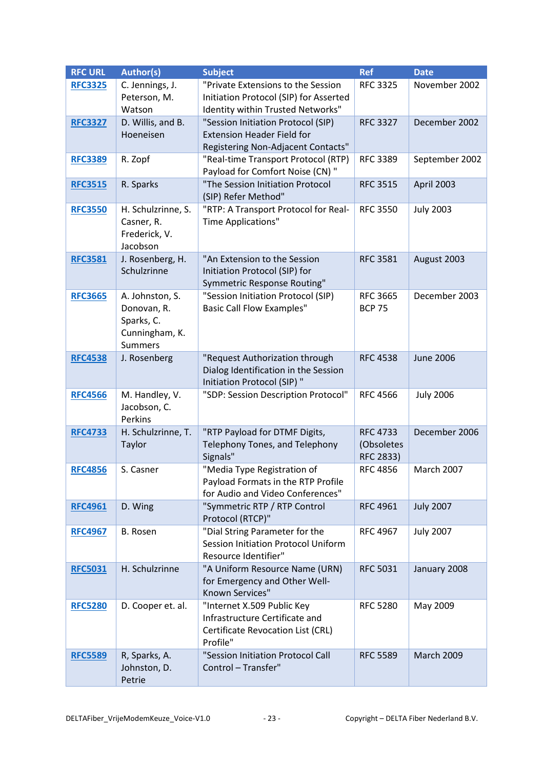| <b>RFC URL</b> | <b>Author(s)</b>          | <b>Subject</b>                                     | <b>Ref</b>      | <b>Date</b>       |
|----------------|---------------------------|----------------------------------------------------|-----------------|-------------------|
| <b>RFC3325</b> | C. Jennings, J.           | "Private Extensions to the Session                 | <b>RFC 3325</b> | November 2002     |
|                | Peterson, M.              | Initiation Protocol (SIP) for Asserted             |                 |                   |
|                | Watson                    | Identity within Trusted Networks"                  |                 |                   |
| <b>RFC3327</b> | D. Willis, and B.         | "Session Initiation Protocol (SIP)                 | <b>RFC 3327</b> | December 2002     |
|                | Hoeneisen                 | <b>Extension Header Field for</b>                  |                 |                   |
|                |                           | Registering Non-Adjacent Contacts"                 |                 |                   |
| <b>RFC3389</b> | R. Zopf                   | "Real-time Transport Protocol (RTP)                | <b>RFC 3389</b> | September 2002    |
|                |                           | Payload for Comfort Noise (CN) "                   |                 |                   |
| <b>RFC3515</b> | R. Sparks                 | "The Session Initiation Protocol                   | <b>RFC 3515</b> | April 2003        |
|                |                           | (SIP) Refer Method"                                |                 |                   |
| <b>RFC3550</b> | H. Schulzrinne, S.        | "RTP: A Transport Protocol for Real-               | <b>RFC 3550</b> | <b>July 2003</b>  |
|                | Casner, R.                | Time Applications"                                 |                 |                   |
|                | Frederick, V.<br>Jacobson |                                                    |                 |                   |
| <b>RFC3581</b> | J. Rosenberg, H.          | "An Extension to the Session                       | <b>RFC 3581</b> | August 2003       |
|                | Schulzrinne               | Initiation Protocol (SIP) for                      |                 |                   |
|                |                           | Symmetric Response Routing"                        |                 |                   |
| <b>RFC3665</b> | A. Johnston, S.           | "Session Initiation Protocol (SIP)                 | <b>RFC 3665</b> | December 2003     |
|                | Donovan, R.               | <b>Basic Call Flow Examples"</b>                   | <b>BCP 75</b>   |                   |
|                | Sparks, C.                |                                                    |                 |                   |
|                | Cunningham, K.            |                                                    |                 |                   |
|                | <b>Summers</b>            |                                                    |                 |                   |
| <b>RFC4538</b> | J. Rosenberg              | "Request Authorization through                     | <b>RFC 4538</b> | <b>June 2006</b>  |
|                |                           | Dialog Identification in the Session               |                 |                   |
|                |                           | Initiation Protocol (SIP) "                        |                 |                   |
| <b>RFC4566</b> | M. Handley, V.            | "SDP: Session Description Protocol"                | <b>RFC 4566</b> | <b>July 2006</b>  |
|                | Jacobson, C.              |                                                    |                 |                   |
|                | Perkins                   |                                                    |                 |                   |
| <b>RFC4733</b> | H. Schulzrinne, T.        | "RTP Payload for DTMF Digits,                      | <b>RFC 4733</b> | December 2006     |
|                | Taylor                    | Telephony Tones, and Telephony                     | (Obsoletes      |                   |
|                |                           | Signals"                                           | RFC 2833)       |                   |
| <b>RFC4856</b> | S. Casner                 | "Media Type Registration of                        | <b>RFC 4856</b> | <b>March 2007</b> |
|                |                           | Payload Formats in the RTP Profile                 |                 |                   |
|                |                           | for Audio and Video Conferences"                   |                 |                   |
| <b>RFC4961</b> | D. Wing                   | "Symmetric RTP / RTP Control                       | <b>RFC 4961</b> | <b>July 2007</b>  |
|                |                           | Protocol (RTCP)"<br>"Dial String Parameter for the | <b>RFC 4967</b> |                   |
| <b>RFC4967</b> | B. Rosen                  | Session Initiation Protocol Uniform                |                 | <b>July 2007</b>  |
|                |                           | Resource Identifier"                               |                 |                   |
| <b>RFC5031</b> | H. Schulzrinne            | "A Uniform Resource Name (URN)                     | <b>RFC 5031</b> | January 2008      |
|                |                           | for Emergency and Other Well-                      |                 |                   |
|                |                           | Known Services"                                    |                 |                   |
| <b>RFC5280</b> | D. Cooper et. al.         | "Internet X.509 Public Key                         | <b>RFC 5280</b> | May 2009          |
|                |                           | Infrastructure Certificate and                     |                 |                   |
|                |                           | Certificate Revocation List (CRL)                  |                 |                   |
|                |                           | Profile"                                           |                 |                   |
| <b>RFC5589</b> | R, Sparks, A.             | "Session Initiation Protocol Call                  | <b>RFC 5589</b> | <b>March 2009</b> |
|                | Johnston, D.              | Control - Transfer"                                |                 |                   |
|                | Petrie                    |                                                    |                 |                   |